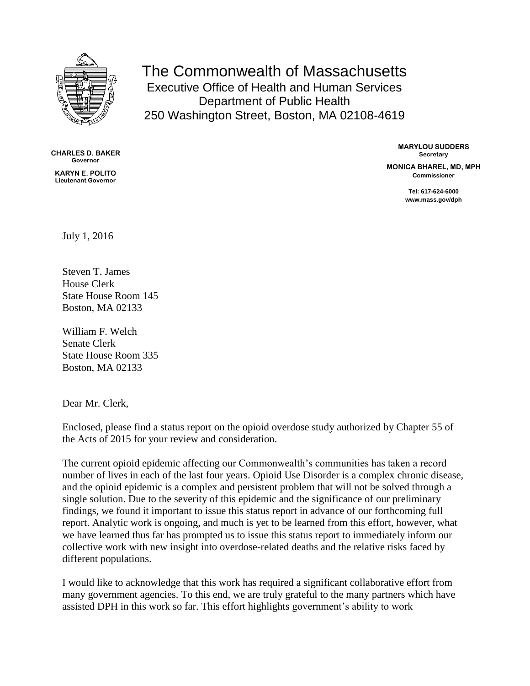

The Commonwealth of Massachusetts Executive Office of Health and Human Services Department of Public Health 250 Washington Street, Boston, MA 02108-4619

**CHARLES D. BAKER Governor**

**KARYN E. POLITO Lieutenant Governor**

**MARYLOU SUDDERS Secretary**

**MONICA BHAREL, MD, MPH Commissioner**

> **Tel: 617-624-6000 www.mass.gov/dph**

July 1, 2016

Steven T. James House Clerk State House Room 145 Boston, MA 02133

William F. Welch Senate Clerk State House Room 335 Boston, MA 02133

Dear Mr. Clerk,

Enclosed, please find a status report on the opioid overdose study authorized by Chapter 55 of the Acts of 2015 for your review and consideration.

The current opioid epidemic affecting our Commonwealth's communities has taken a record number of lives in each of the last four years. Opioid Use Disorder is a complex chronic disease, and the opioid epidemic is a complex and persistent problem that will not be solved through a single solution. Due to the severity of this epidemic and the significance of our preliminary findings, we found it important to issue this status report in advance of our forthcoming full report. Analytic work is ongoing, and much is yet to be learned from this effort, however, what we have learned thus far has prompted us to issue this status report to immediately inform our collective work with new insight into overdose-related deaths and the relative risks faced by different populations.

I would like to acknowledge that this work has required a significant collaborative effort from many government agencies. To this end, we are truly grateful to the many partners which have assisted DPH in this work so far. This effort highlights government's ability to work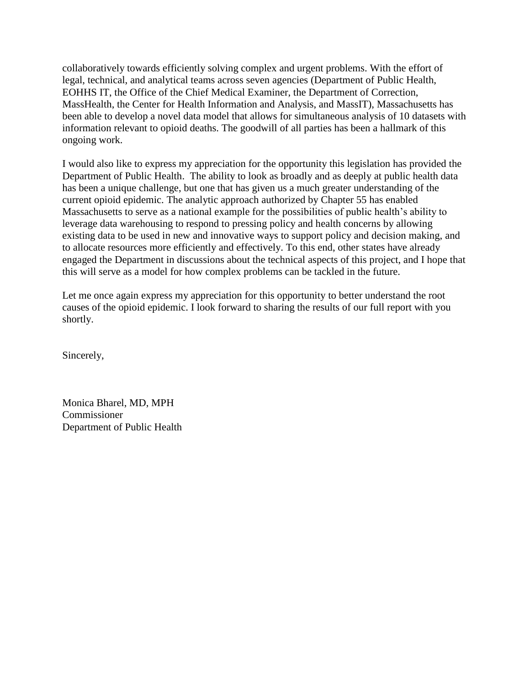collaboratively towards efficiently solving complex and urgent problems. With the effort of legal, technical, and analytical teams across seven agencies (Department of Public Health, EOHHS IT, the Office of the Chief Medical Examiner, the Department of Correction, MassHealth, the Center for Health Information and Analysis, and MassIT), Massachusetts has been able to develop a novel data model that allows for simultaneous analysis of 10 datasets with information relevant to opioid deaths. The goodwill of all parties has been a hallmark of this ongoing work.

I would also like to express my appreciation for the opportunity this legislation has provided the Department of Public Health. The ability to look as broadly and as deeply at public health data has been a unique challenge, but one that has given us a much greater understanding of the current opioid epidemic. The analytic approach authorized by Chapter 55 has enabled Massachusetts to serve as a national example for the possibilities of public health's ability to leverage data warehousing to respond to pressing policy and health concerns by allowing existing data to be used in new and innovative ways to support policy and decision making, and to allocate resources more efficiently and effectively. To this end, other states have already engaged the Department in discussions about the technical aspects of this project, and I hope that this will serve as a model for how complex problems can be tackled in the future.

Let me once again express my appreciation for this opportunity to better understand the root causes of the opioid epidemic. I look forward to sharing the results of our full report with you shortly.

Sincerely,

Monica Bharel, MD, MPH Commissioner Department of Public Health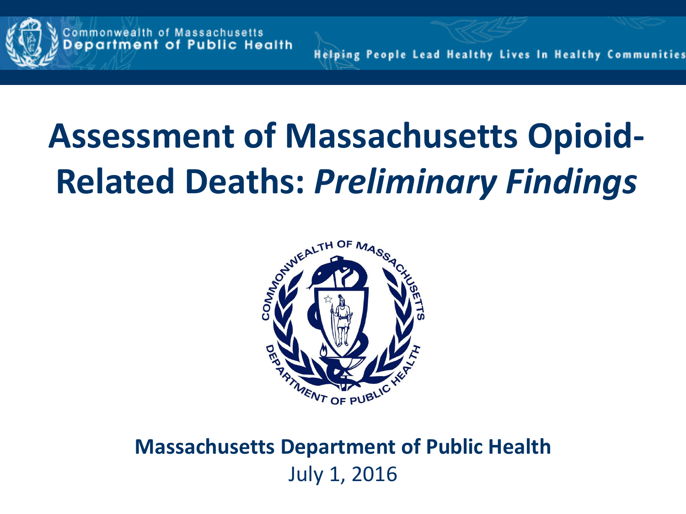

**Helping People Lead Healthy Lives In Healthy Communities** 

# **Assessment of Massachusetts Opioid-Related Deaths:** *Preliminary Findings*



**Massachusetts Department of Public Health** July 1, 2016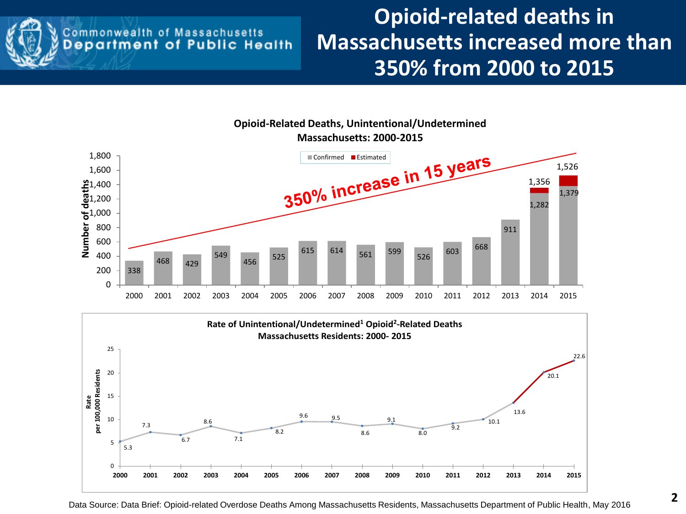

## **Commonwealth of Massachusetts**<br>**Department of Public Health**

### **Opioid-related deaths in Massachusetts increased more than 350% from 2000 to 2015**



**Opioid-Related Deaths, Unintentional/Undetermined Massachusetts: 2000-2015**

Data Source: Data Brief: Opioid-related Overdose Deaths Among Massachusetts Residents, Massachusetts Department of Public Health, May 2016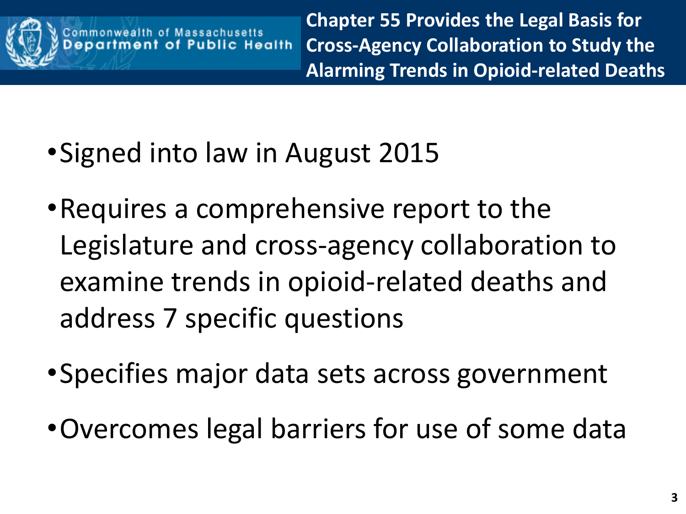

**Chapter 55 Provides the Legal Basis for Cross-Agency Collaboration to Study the Alarming Trends in Opioid-related Deaths**

- •Signed into law in August 2015
- •Requires a comprehensive report to the Legislature and cross-agency collaboration to examine trends in opioid-related deaths and address 7 specific questions
- •Specifies major data sets across government
- •Overcomes legal barriers for use of some data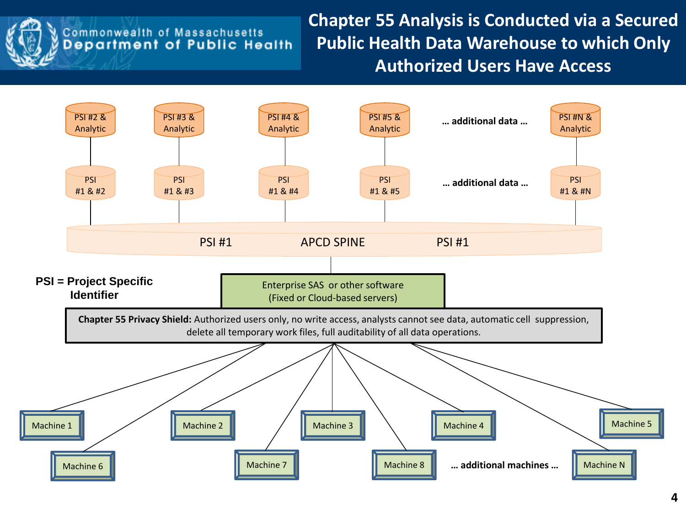

## **Commonwealth of Massachusetts**<br>**Department of Public Health**

**Chapter 55 Analysis is Conducted via a Secured Public Health Data Warehouse to which Only Authorized Users Have Access**

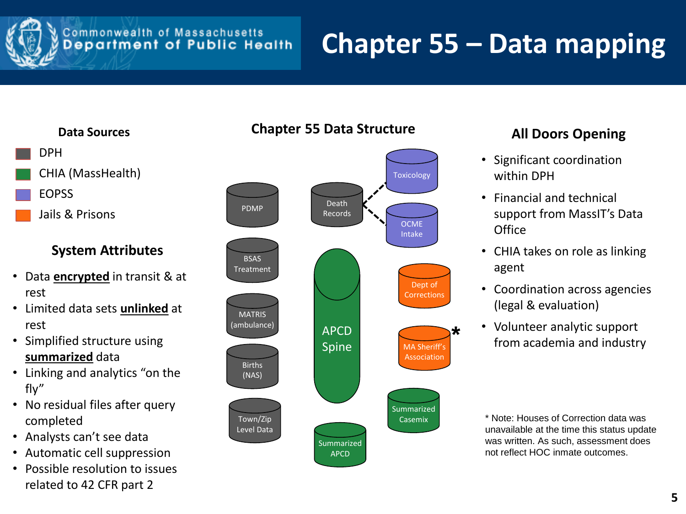

### **Commonwealth of Massachusetts**<br>**Department of Public Health**

# **Chapter 55 – Data mapping**

#### **Data Sources** DPH CHIA (MassHealth) EOPSS Jails & Prisons

#### **System Attributes**

- Data **encrypted** in transit & at rest
- Limited data sets **unlinked** at rest
- Simplified structure using **summarized** data
- Linking and analytics "on the fly"
- No residual files after query completed
- Analysts can't see data
- Automatic cell suppression
- Possible resolution to issues related to 42 CFR part 2



#### **All Doors Opening**

- Significant coordination within DPH
- Financial and technical support from MassIT's Data **Office**
- CHIA takes on role as linking agent
- Coordination across agencies (legal & evaluation)
- Volunteer analytic support from academia and industry

\* Note: Houses of Correction data was unavailable at the time this status update was written. As such, assessment does not reflect HOC inmate outcomes.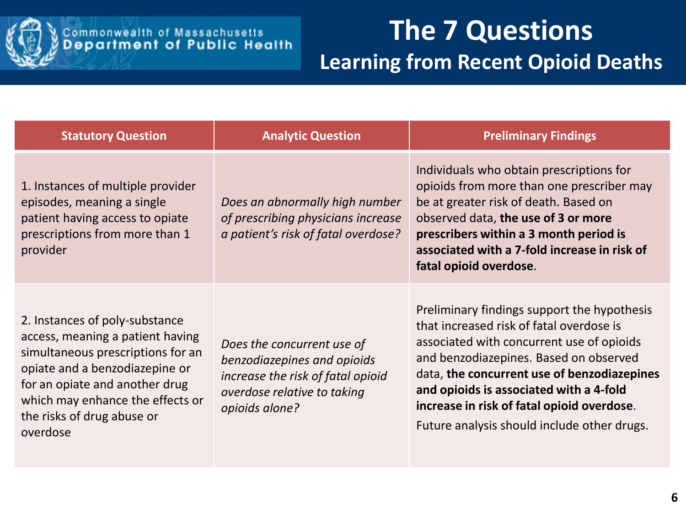

| <b>Statutory Question</b>                                                                                                                                                                                                                                 | <b>Analytic Question</b>                                                                                                                        | <b>Preliminary Findings</b>                                                                                                                                                                                                                                                                                                                                           |
|-----------------------------------------------------------------------------------------------------------------------------------------------------------------------------------------------------------------------------------------------------------|-------------------------------------------------------------------------------------------------------------------------------------------------|-----------------------------------------------------------------------------------------------------------------------------------------------------------------------------------------------------------------------------------------------------------------------------------------------------------------------------------------------------------------------|
| 1. Instances of multiple provider<br>episodes, meaning a single<br>patient having access to opiate<br>prescriptions from more than 1<br>provider                                                                                                          | Does an abnormally high number<br>of prescribing physicians increase<br>a patient's risk of fatal overdose?                                     | Individuals who obtain prescriptions for<br>opioids from more than one prescriber may<br>be at greater risk of death. Based on<br>observed data, the use of 3 or more<br>prescribers within a 3 month period is<br>associated with a 7-fold increase in risk of<br>fatal opioid overdose.                                                                             |
| 2. Instances of poly-substance<br>access, meaning a patient having<br>simultaneous prescriptions for an<br>opiate and a benzodiazepine or<br>for an opiate and another drug<br>which may enhance the effects or<br>the risks of drug abuse or<br>overdose | Does the concurrent use of<br>benzodiazepines and opioids<br>increase the risk of fatal opioid<br>overdose relative to taking<br>opioids alone? | Preliminary findings support the hypothesis<br>that increased risk of fatal overdose is<br>associated with concurrent use of opioids<br>and benzodiazepines. Based on observed<br>data, the concurrent use of benzodiazepines<br>and opioids is associated with a 4-fold<br>increase in risk of fatal opioid overdose.<br>Future analysis should include other drugs. |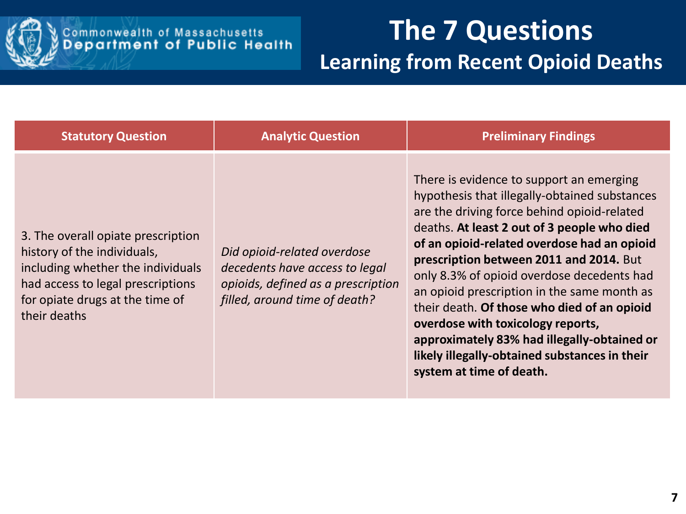

| <b>Statutory Question</b>                                                                                                                                                                      | <b>Analytic Question</b>                                                                                                             | <b>Preliminary Findings</b>                                                                                                                                                                                                                                                                                                                                                                                                                                                                                                                                                                    |
|------------------------------------------------------------------------------------------------------------------------------------------------------------------------------------------------|--------------------------------------------------------------------------------------------------------------------------------------|------------------------------------------------------------------------------------------------------------------------------------------------------------------------------------------------------------------------------------------------------------------------------------------------------------------------------------------------------------------------------------------------------------------------------------------------------------------------------------------------------------------------------------------------------------------------------------------------|
| 3. The overall opiate prescription<br>history of the individuals,<br>including whether the individuals<br>had access to legal prescriptions<br>for opiate drugs at the time of<br>their deaths | Did opioid-related overdose<br>decedents have access to legal<br>opioids, defined as a prescription<br>filled, around time of death? | There is evidence to support an emerging<br>hypothesis that illegally-obtained substances<br>are the driving force behind opioid-related<br>deaths. At least 2 out of 3 people who died<br>of an opioid-related overdose had an opioid<br>prescription between 2011 and 2014. But<br>only 8.3% of opioid overdose decedents had<br>an opioid prescription in the same month as<br>their death. Of those who died of an opioid<br>overdose with toxicology reports,<br>approximately 83% had illegally-obtained or<br>likely illegally-obtained substances in their<br>system at time of death. |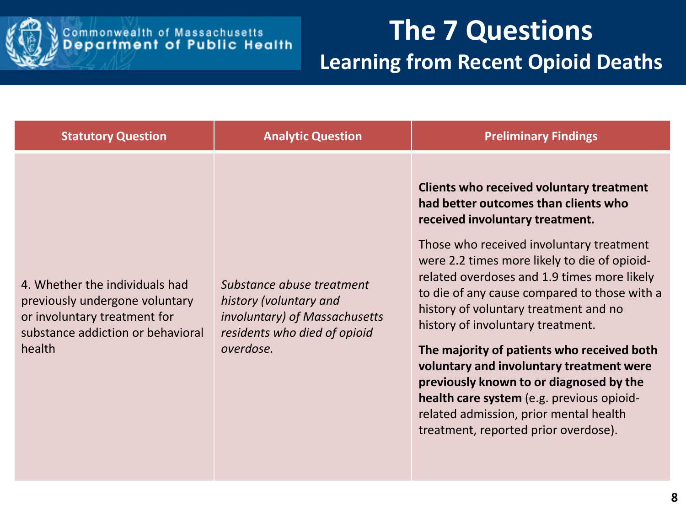

| <b>Statutory Question</b>                                                                                                                       | <b>Analytic Question</b>                                                                                                          | <b>Preliminary Findings</b>                                                                                                                                                                                                                                                                                                                                                                                                                                                                                                                                                                                                                                      |
|-------------------------------------------------------------------------------------------------------------------------------------------------|-----------------------------------------------------------------------------------------------------------------------------------|------------------------------------------------------------------------------------------------------------------------------------------------------------------------------------------------------------------------------------------------------------------------------------------------------------------------------------------------------------------------------------------------------------------------------------------------------------------------------------------------------------------------------------------------------------------------------------------------------------------------------------------------------------------|
| 4. Whether the individuals had<br>previously undergone voluntary<br>or involuntary treatment for<br>substance addiction or behavioral<br>health | Substance abuse treatment<br>history (voluntary and<br>involuntary) of Massachusetts<br>residents who died of opioid<br>overdose. | Clients who received voluntary treatment<br>had better outcomes than clients who<br>received involuntary treatment.<br>Those who received involuntary treatment<br>were 2.2 times more likely to die of opioid-<br>related overdoses and 1.9 times more likely<br>to die of any cause compared to those with a<br>history of voluntary treatment and no<br>history of involuntary treatment.<br>The majority of patients who received both<br>voluntary and involuntary treatment were<br>previously known to or diagnosed by the<br>health care system (e.g. previous opioid-<br>related admission, prior mental health<br>treatment, reported prior overdose). |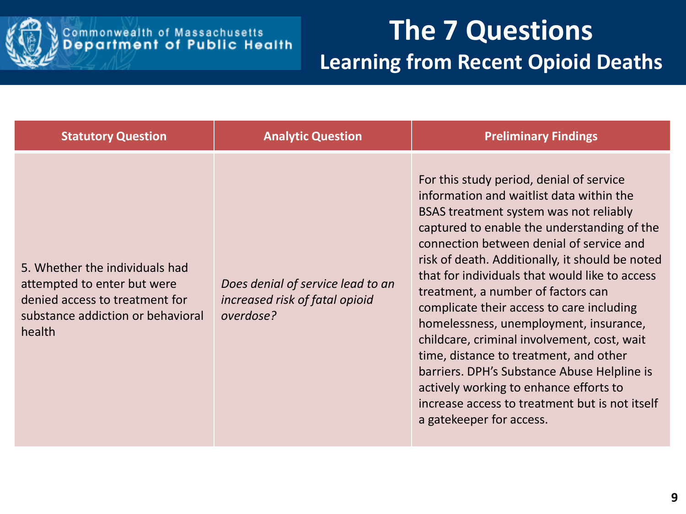

| <b>Statutory Question</b>                                                                                                                      | <b>Analytic Question</b>                                                         | <b>Preliminary Findings</b>                                                                                                                                                                                                                                                                                                                                                                                                                                                                                                                                                                                                                                                                                                 |
|------------------------------------------------------------------------------------------------------------------------------------------------|----------------------------------------------------------------------------------|-----------------------------------------------------------------------------------------------------------------------------------------------------------------------------------------------------------------------------------------------------------------------------------------------------------------------------------------------------------------------------------------------------------------------------------------------------------------------------------------------------------------------------------------------------------------------------------------------------------------------------------------------------------------------------------------------------------------------------|
| 5. Whether the individuals had<br>attempted to enter but were<br>denied access to treatment for<br>substance addiction or behavioral<br>health | Does denial of service lead to an<br>increased risk of fatal opioid<br>overdose? | For this study period, denial of service<br>information and waitlist data within the<br>BSAS treatment system was not reliably<br>captured to enable the understanding of the<br>connection between denial of service and<br>risk of death. Additionally, it should be noted<br>that for individuals that would like to access<br>treatment, a number of factors can<br>complicate their access to care including<br>homelessness, unemployment, insurance,<br>childcare, criminal involvement, cost, wait<br>time, distance to treatment, and other<br>barriers. DPH's Substance Abuse Helpline is<br>actively working to enhance efforts to<br>increase access to treatment but is not itself<br>a gatekeeper for access. |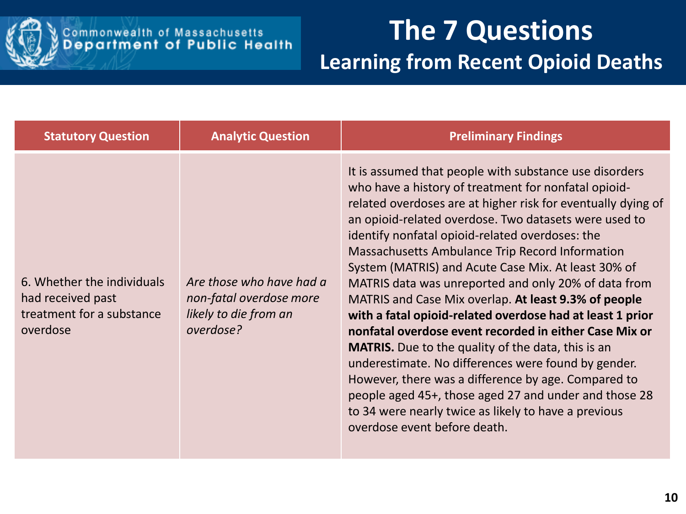

| <b>Statutory Question</b>                                                                | <b>Analytic Question</b>                                                                  | <b>Preliminary Findings</b>                                                                                                                                                                                                                                                                                                                                                                                                                                                                                                                                                                                                                                                                                                                                                                                                                                                                                                                                             |
|------------------------------------------------------------------------------------------|-------------------------------------------------------------------------------------------|-------------------------------------------------------------------------------------------------------------------------------------------------------------------------------------------------------------------------------------------------------------------------------------------------------------------------------------------------------------------------------------------------------------------------------------------------------------------------------------------------------------------------------------------------------------------------------------------------------------------------------------------------------------------------------------------------------------------------------------------------------------------------------------------------------------------------------------------------------------------------------------------------------------------------------------------------------------------------|
| 6. Whether the individuals<br>had received past<br>treatment for a substance<br>overdose | Are those who have had a<br>non-fatal overdose more<br>likely to die from an<br>overdose? | It is assumed that people with substance use disorders<br>who have a history of treatment for nonfatal opioid-<br>related overdoses are at higher risk for eventually dying of<br>an opioid-related overdose. Two datasets were used to<br>identify nonfatal opioid-related overdoses: the<br>Massachusetts Ambulance Trip Record Information<br>System (MATRIS) and Acute Case Mix. At least 30% of<br>MATRIS data was unreported and only 20% of data from<br>MATRIS and Case Mix overlap. At least 9.3% of people<br>with a fatal opioid-related overdose had at least 1 prior<br>nonfatal overdose event recorded in either Case Mix or<br><b>MATRIS.</b> Due to the quality of the data, this is an<br>underestimate. No differences were found by gender.<br>However, there was a difference by age. Compared to<br>people aged 45+, those aged 27 and under and those 28<br>to 34 were nearly twice as likely to have a previous<br>overdose event before death. |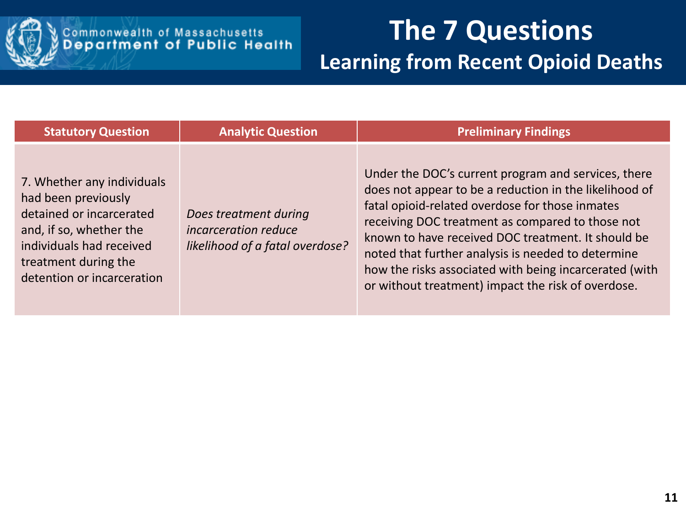

| <b>Statutory Question</b>                                                                                                                                                                  | <b>Analytic Question</b>                                                         | <b>Preliminary Findings</b>                                                                                                                                                                                                                                                                                                                                                                                                                      |
|--------------------------------------------------------------------------------------------------------------------------------------------------------------------------------------------|----------------------------------------------------------------------------------|--------------------------------------------------------------------------------------------------------------------------------------------------------------------------------------------------------------------------------------------------------------------------------------------------------------------------------------------------------------------------------------------------------------------------------------------------|
| 7. Whether any individuals<br>had been previously<br>detained or incarcerated<br>and, if so, whether the<br>individuals had received<br>treatment during the<br>detention or incarceration | Does treatment during<br>incarceration reduce<br>likelihood of a fatal overdose? | Under the DOC's current program and services, there<br>does not appear to be a reduction in the likelihood of<br>fatal opioid-related overdose for those inmates<br>receiving DOC treatment as compared to those not<br>known to have received DOC treatment. It should be<br>noted that further analysis is needed to determine<br>how the risks associated with being incarcerated (with<br>or without treatment) impact the risk of overdose. |